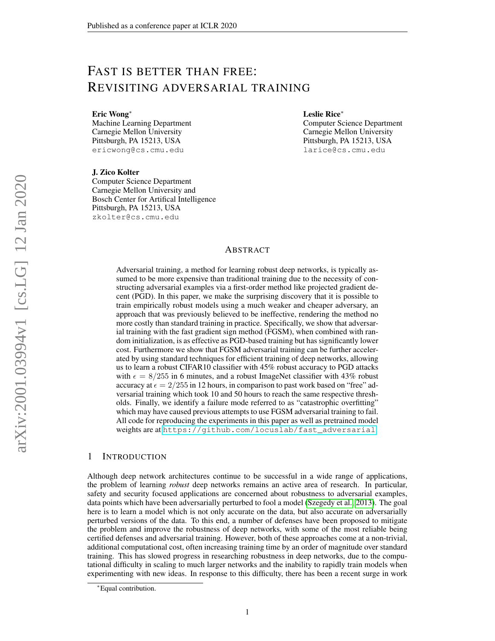# FAST IS BETTER THAN FREE: REVISITING ADVERSARIAL TRAINING

Eric Wong<sup>∗</sup>

Machine Learning Department Carnegie Mellon University Pittsburgh, PA 15213, USA ericwong@cs.cmu.edu

Leslie Rice<sup>∗</sup>

Computer Science Department Carnegie Mellon University Pittsburgh, PA 15213, USA larice@cs.cmu.edu

J. Zico Kolter

Computer Science Department Carnegie Mellon University and Bosch Center for Artifical Intelligence Pittsburgh, PA 15213, USA zkolter@cs.cmu.edu

# ABSTRACT

Adversarial training, a method for learning robust deep networks, is typically assumed to be more expensive than traditional training due to the necessity of constructing adversarial examples via a first-order method like projected gradient decent (PGD). In this paper, we make the surprising discovery that it is possible to train empirically robust models using a much weaker and cheaper adversary, an approach that was previously believed to be ineffective, rendering the method no more costly than standard training in practice. Specifically, we show that adversarial training with the fast gradient sign method (FGSM), when combined with random initialization, is as effective as PGD-based training but has significantly lower cost. Furthermore we show that FGSM adversarial training can be further accelerated by using standard techniques for efficient training of deep networks, allowing us to learn a robust CIFAR10 classifier with 45% robust accuracy to PGD attacks with  $\epsilon = 8/255$  in 6 minutes, and a robust ImageNet classifier with 43% robust accuracy at  $\epsilon = 2/255$  in 12 hours, in comparison to past work based on "free" adversarial training which took 10 and 50 hours to reach the same respective thresholds. Finally, we identify a failure mode referred to as "catastrophic overfitting" which may have caused previous attempts to use FGSM adversarial training to fail. All code for reproducing the experiments in this paper as well as pretrained model weights are at [https://github.com/locuslab/fast\\_adversarial](https://github.com/locuslab/fast_adversarial).

# 1 INTRODUCTION

Although deep network architectures continue to be successful in a wide range of applications, the problem of learning *robust* deep networks remains an active area of research. In particular, safety and security focused applications are concerned about robustness to adversarial examples, data points which have been adversarially perturbed to fool a model [\(Szegedy et al., 2013\)](#page-11-0). The goal here is to learn a model which is not only accurate on the data, but also accurate on adversarially perturbed versions of the data. To this end, a number of defenses have been proposed to mitigate the problem and improve the robustness of deep networks, with some of the most reliable being certified defenses and adversarial training. However, both of these approaches come at a non-trivial, additional computational cost, often increasing training time by an order of magnitude over standard training. This has slowed progress in researching robustness in deep networks, due to the computational difficulty in scaling to much larger networks and the inability to rapidly train models when experimenting with new ideas. In response to this difficulty, there has been a recent surge in work

<sup>∗</sup>Equal contribution.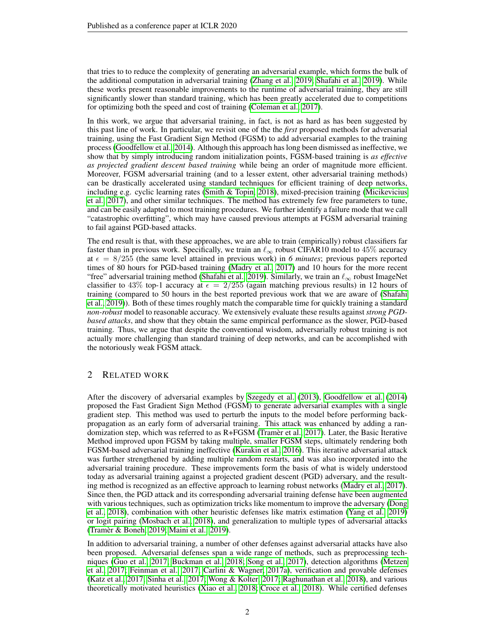that tries to to reduce the complexity of generating an adversarial example, which forms the bulk of the additional computation in adversarial training [\(Zhang et al., 2019;](#page-12-0) [Shafahi et al., 2019\)](#page-11-1). While these works present reasonable improvements to the runtime of adversarial training, they are still significantly slower than standard training, which has been greatly accelerated due to competitions for optimizing both the speed and cost of training [\(Coleman et al., 2017\)](#page-10-0).

In this work, we argue that adversarial training, in fact, is not as hard as has been suggested by this past line of work. In particular, we revisit one of the the *first* proposed methods for adversarial training, using the Fast Gradient Sign Method (FGSM) to add adversarial examples to the training process [\(Goodfellow et al., 2014\)](#page-10-1). Although this approach has long been dismissed as ineffective, we show that by simply introducing random initialization points, FGSM-based training is *as effective as projected gradient descent based training* while being an order of magnitude more efficient. Moreover, FGSM adversarial training (and to a lesser extent, other adversarial training methods) can be drastically accelerated using standard techniques for efficient training of deep networks, including e.g. cyclic learning rates [\(Smith & Topin, 2018\)](#page-11-2), mixed-precision training [\(Micikevicius](#page-11-3) [et al., 2017\)](#page-11-3), and other similar techniques. The method has extremely few free parameters to tune, and can be easily adapted to most training procedures. We further identify a failure mode that we call "catastrophic overfitting", which may have caused previous attempts at FGSM adversarial training to fail against PGD-based attacks.

The end result is that, with these approaches, we are able to train (empirically) robust classifiers far faster than in previous work. Specifically, we train an  $\ell_{\infty}$  robust CIFAR10 model to 45% accuracy at  $\epsilon = 8/255$  (the same level attained in previous work) in 6 *minutes*; previous papers reported times of 80 hours for PGD-based training [\(Madry et al., 2017\)](#page-11-4) and 10 hours for the more recent "free" adversarial training method [\(Shafahi et al., 2019\)](#page-11-1). Similarly, we train an  $\ell_{\infty}$  robust ImageNet classifier to 43% top-1 accuracy at  $\epsilon = 2/255$  (again matching previous results) in 12 hours of training (compared to 50 hours in the best reported previous work that we are aware of [\(Shafahi](#page-11-1) [et al., 2019\)](#page-11-1)). Both of these times roughly match the comparable time for quickly training a standard *non-robust* model to reasonable accuracy. We extensively evaluate these results against *strong PGDbased attacks*, and show that they obtain the same empirical performance as the slower, PGD-based training. Thus, we argue that despite the conventional wisdom, adversarially robust training is not actually more challenging than standard training of deep networks, and can be accomplished with the notoriously weak FGSM attack.

# 2 RELATED WORK

After the discovery of adversarial examples by [Szegedy et al.](#page-11-0) [\(2013\)](#page-11-0), [Goodfellow et al.](#page-10-1) [\(2014\)](#page-10-1) proposed the Fast Gradient Sign Method (FGSM) to generate adversarial examples with a single gradient step. This method was used to perturb the inputs to the model before performing backpropagation as an early form of adversarial training. This attack was enhanced by adding a randomization step, which was referred to as  $R + FGSM$  [\(Tramer et al., 2017\)](#page-12-1). Later, the Basic Iterative Method improved upon FGSM by taking multiple, smaller FGSM steps, ultimately rendering both FGSM-based adversarial training ineffective [\(Kurakin et al., 2016\)](#page-11-5). This iterative adversarial attack was further strengthened by adding multiple random restarts, and was also incorporated into the adversarial training procedure. These improvements form the basis of what is widely understood today as adversarial training against a projected gradient descent (PGD) adversary, and the resulting method is recognized as an effective approach to learning robust networks [\(Madry et al., 2017\)](#page-11-4). Since then, the PGD attack and its corresponding adversarial training defense have been augmented with various techniques, such as optimization tricks like momentum to improve the adversary [\(Dong](#page-10-2) [et al., 2018\)](#page-10-2), combination with other heuristic defenses like matrix estimation [\(Yang et al., 2019\)](#page-12-2) or logit pairing [\(Mosbach et al., 2018\)](#page-11-6), and generalization to multiple types of adversarial attacks [\(Tramer & Boneh, 2019;](#page-12-3) [Maini et al., 2019\)](#page-11-7). `

In addition to adversarial training, a number of other defenses against adversarial attacks have also been proposed. Adversarial defenses span a wide range of methods, such as preprocessing techniques [\(Guo et al., 2017;](#page-10-3) [Buckman et al., 2018;](#page-10-4) [Song et al., 2017\)](#page-11-8), detection algorithms [\(Metzen](#page-11-9) [et al., 2017;](#page-11-9) [Feinman et al., 2017;](#page-10-5) [Carlini & Wagner, 2017a\)](#page-10-6), verification and provable defenses [\(Katz et al., 2017;](#page-11-10) [Sinha et al., 2017;](#page-11-11) [Wong & Kolter, 2017;](#page-12-4) [Raghunathan et al., 2018\)](#page-11-12), and various theoretically motivated heuristics [\(Xiao et al., 2018;](#page-12-5) [Croce et al., 2018\)](#page-10-7). While certified defenses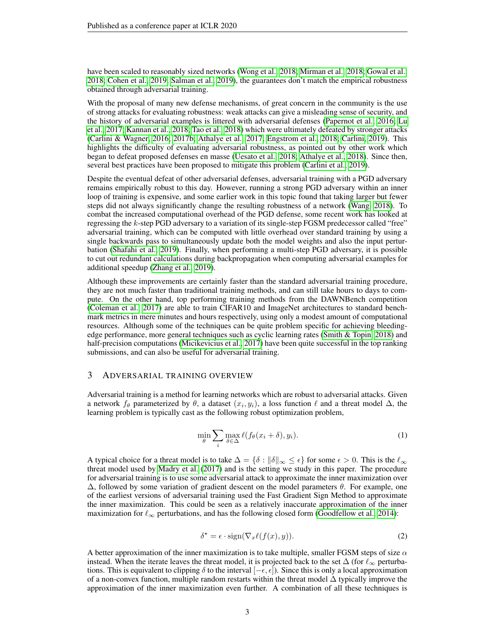have been scaled to reasonably sized networks [\(Wong et al., 2018;](#page-12-6) [Mirman et al., 2018;](#page-11-13) [Gowal et al.,](#page-10-8) [2018;](#page-10-8) [Cohen et al., 2019;](#page-10-9) [Salman et al., 2019\)](#page-11-14), the guarantees don't match the empirical robustness obtained through adversarial training.

With the proposal of many new defense mechanisms, of great concern in the community is the use of strong attacks for evaluating robustness: weak attacks can give a misleading sense of security, and the history of adversarial examples is littered with adversarial defenses [\(Papernot et al., 2016;](#page-11-15) [Lu](#page-11-16) [et al., 2017;](#page-11-16) [Kannan et al., 2018;](#page-10-10) [Tao et al., 2018\)](#page-12-7) which were ultimately defeated by stronger attacks [\(Carlini & Wagner, 2016;](#page-10-11) [2017b;](#page-10-12) [Athalye et al., 2017;](#page-10-13) [Engstrom et al., 2018;](#page-10-14) [Carlini, 2019\)](#page-10-15). This highlights the difficulty of evaluating adversarial robustness, as pointed out by other work which began to defeat proposed defenses en masse [\(Uesato et al., 2018;](#page-12-8) [Athalye et al., 2018\)](#page-10-16). Since then, several best practices have been proposed to mitigate this problem [\(Carlini et al., 2019\)](#page-10-17).

Despite the eventual defeat of other adversarial defenses, adversarial training with a PGD adversary remains empirically robust to this day. However, running a strong PGD adversary within an inner loop of training is expensive, and some earlier work in this topic found that taking larger but fewer steps did not always significantly change the resulting robustness of a network [\(Wang, 2018\)](#page-12-9). To combat the increased computational overhead of the PGD defense, some recent work has looked at regressing the k-step PGD adversary to a variation of its single-step FGSM predecessor called "free" adversarial training, which can be computed with little overhead over standard training by using a single backwards pass to simultaneously update both the model weights and also the input perturbation [\(Shafahi et al., 2019\)](#page-11-1). Finally, when performing a multi-step PGD adversary, it is possible to cut out redundant calculations during backpropagation when computing adversarial examples for additional speedup [\(Zhang et al., 2019\)](#page-12-0).

Although these improvements are certainly faster than the standard adversarial training procedure, they are not much faster than traditional training methods, and can still take hours to days to compute. On the other hand, top performing training methods from the DAWNBench competition [\(Coleman et al., 2017\)](#page-10-0) are able to train CIFAR10 and ImageNet architectures to standard benchmark metrics in mere minutes and hours respectively, using only a modest amount of computational resources. Although some of the techniques can be quite problem specific for achieving bleedingedge performance, more general techniques such as cyclic learning rates [\(Smith & Topin, 2018\)](#page-11-2) and half-precision computations [\(Micikevicius et al., 2017\)](#page-11-3) have been quite successful in the top ranking submissions, and can also be useful for adversarial training.

#### 3 ADVERSARIAL TRAINING OVERVIEW

Adversarial training is a method for learning networks which are robust to adversarial attacks. Given a network  $f_{\theta}$  parameterized by  $\theta$ , a dataset  $(x_i, y_i)$ , a loss function  $\ell$  and a threat model  $\Delta$ , the learning problem is typically cast as the following robust optimization problem,

$$
\min_{\theta} \sum_{i} \max_{\delta \in \Delta} \ell(f_{\theta}(x_i + \delta), y_i). \tag{1}
$$

A typical choice for a threat model is to take  $\Delta = \{\delta : ||\delta||_{\infty} \leq \epsilon\}$  for some  $\epsilon > 0$ . This is the  $\ell_{\infty}$ threat model used by [Madry et al.](#page-11-4) [\(2017\)](#page-11-4) and is the setting we study in this paper. The procedure for adversarial training is to use some adversarial attack to approximate the inner maximization over  $\Delta$ , followed by some variation of gradient descent on the model parameters  $\theta$ . For example, one of the earliest versions of adversarial training used the Fast Gradient Sign Method to approximate the inner maximization. This could be seen as a relatively inaccurate approximation of the inner maximization for  $\ell_{\infty}$  perturbations, and has the following closed form [\(Goodfellow et al., 2014\)](#page-10-1):

$$
\delta^* = \epsilon \cdot \text{sign}(\nabla_x \ell(f(x), y)). \tag{2}
$$

A better approximation of the inner maximization is to take multiple, smaller FGSM steps of size  $\alpha$ instead. When the iterate leaves the threat model, it is projected back to the set  $\Delta$  (for  $\ell_{\infty}$  perturbations. This is equivalent to clipping  $\delta$  to the interval  $[-\epsilon, \epsilon]$ ). Since this is only a local approximation of a non-convex function, multiple random restarts within the threat model  $\Delta$  typically improve the approximation of the inner maximization even further. A combination of all these techniques is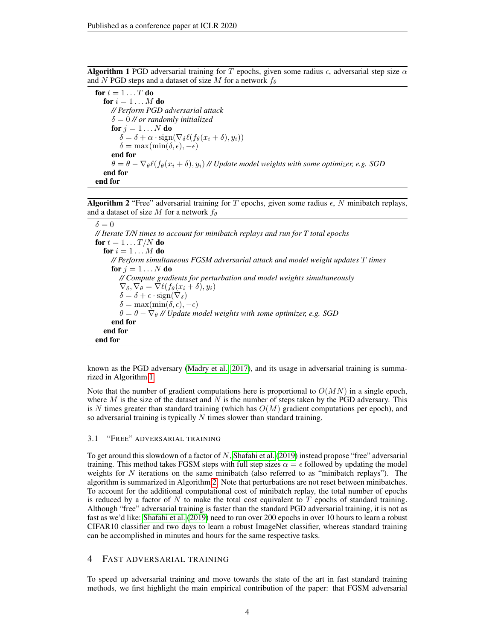<span id="page-3-0"></span>**Algorithm 1** PGD adversarial training for T epochs, given some radius  $\epsilon$ , adversarial step size  $\alpha$ and N PGD steps and a dataset of size M for a network  $f_{\theta}$ 

for  $t = 1 \ldots T$  do for  $i = 1 \ldots M$  do *// Perform PGD adversarial attack* δ = 0 *// or randomly initialized* for  $j = 1 \dots N$  do  $\delta = \delta + \alpha \cdot \text{sign}(\nabla_{\delta} \ell(f_{\theta}(x_i + \delta), y_i))$  $\delta = \max(\min(\delta, \epsilon), -\epsilon)$ end for  $\theta = \theta - \nabla_{\theta} \ell(f_{\theta}(x_i + \delta), y_i)$  // Update model weights with some optimizer, e.g. SGD end for end for

<span id="page-3-1"></span>**Algorithm 2** "Free" adversarial training for T epochs, given some radius  $\epsilon$ , N minibatch replays, and a dataset of size M for a network  $f_{\theta}$ 

 $\delta = 0$ *// Iterate T/N times to account for minibatch replays and run for T total epochs* for  $t = 1 \ldots T/N$  do for  $i = 1 \ldots M$  do *// Perform simultaneous FGSM adversarial attack and model weight updates* T *times* for  $i = 1...N$  do *// Compute gradients for perturbation and model weights simultaneously*  $\nabla_{\delta}, \nabla_{\theta} = \nabla \ell(f_{\theta}(x_i + \delta), y_i)$  $\delta = \delta + \epsilon \cdot \text{sign}(\nabla_{\delta})$  $\delta = \max(\min(\delta, \epsilon), -\epsilon)$  $\theta = \theta - \nabla_{\theta}$  // Update model weights with some optimizer, e.g. SGD end for end for end for

known as the PGD adversary [\(Madry et al., 2017\)](#page-11-4), and its usage in adversarial training is summarized in Algorithm [1.](#page-3-0)

Note that the number of gradient computations here is proportional to  $O(MN)$  in a single epoch, where  $M$  is the size of the dataset and  $N$  is the number of steps taken by the PGD adversary. This is N times greater than standard training (which has  $O(M)$  gradient computations per epoch), and so adversarial training is typically  $N$  times slower than standard training.

# 3.1 "FREE" ADVERSARIAL TRAINING

To get around this slowdown of a factor of N, [Shafahi et al.](#page-11-1) [\(2019\)](#page-11-1) instead propose "free" adversarial training. This method takes FGSM steps with full step sizes  $\alpha = \epsilon$  followed by updating the model weights for N iterations on the same minibatch (also referred to as "minibatch replays"). The algorithm is summarized in Algorithm [2.](#page-3-1) Note that perturbations are not reset between minibatches. To account for the additional computational cost of minibatch replay, the total number of epochs is reduced by a factor of  $N$  to make the total cost equivalent to  $T$  epochs of standard training. Although "free" adversarial training is faster than the standard PGD adversarial training, it is not as fast as we'd like: [Shafahi et al.](#page-11-1) [\(2019\)](#page-11-1) need to run over 200 epochs in over 10 hours to learn a robust CIFAR10 classifier and two days to learn a robust ImageNet classifier, whereas standard training can be accomplished in minutes and hours for the same respective tasks.

#### 4 FAST ADVERSARIAL TRAINING

To speed up adversarial training and move towards the state of the art in fast standard training methods, we first highlight the main empirical contribution of the paper: that FGSM adversarial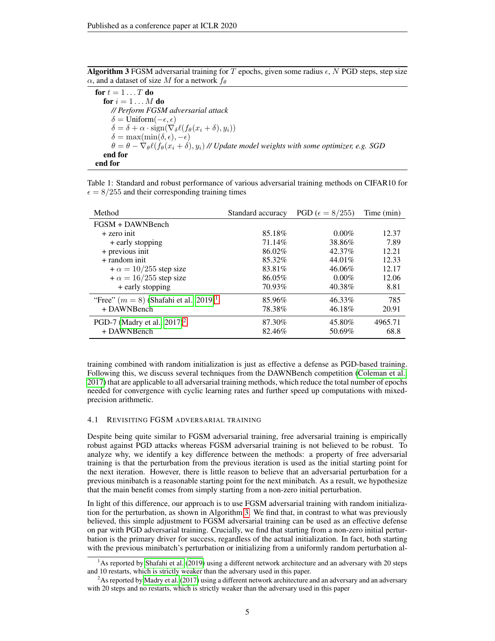<span id="page-4-2"></span>**Algorithm 3** FGSM adversarial training for T epochs, given some radius  $\epsilon$ , N PGD steps, step size  $\alpha$ , and a dataset of size M for a network  $f_{\theta}$ 

for  $t = 1 \dots T$  do for  $i = 1 \ldots M$  do *// Perform FGSM adversarial attack*  $\delta = \text{Uniform}(-\epsilon, \epsilon)$  $\delta = \delta + \alpha \cdot \text{sign}(\nabla_{\delta} \ell(f_{\theta}(x_i + \delta), y_i))$  $\delta = \max(\min(\delta, \epsilon), -\epsilon)$  $\theta = \theta - \nabla_{\theta} \ell(f_{\theta}(x_i + \delta), y_i)$  // Update model weights with some optimizer, e.g. SGD end for end for

<span id="page-4-3"></span>Table 1: Standard and robust performance of various adversarial training methods on CIFAR10 for  $\epsilon = 8/255$  and their corresponding training times

| Method                                               | Standard accuracy | PGD ( $\epsilon = 8/255$ ) | Time (min) |
|------------------------------------------------------|-------------------|----------------------------|------------|
| FGSM + DAWNBench                                     |                   |                            |            |
| $+$ zero init                                        | 85.18%            | $0.00\%$                   | 12.37      |
| + early stopping                                     | 71.14%            | 38.86%                     | 7.89       |
| + previous init                                      | 86.02%            | 42.37%                     | 12.21      |
| $+$ random init                                      | 85.32%            | 44.01%                     | 12.33      |
| $+\alpha = 10/255$ step size                         | 83.81%            | 46.06%                     | 12.17      |
| $+\alpha = 16/255$ step size                         | 86.05%            | $0.00\%$                   | 12.06      |
| + early stopping                                     | 70.93%            | 40.38%                     | 8.81       |
| "Free" $(m = 8)$ (Shafahi et al., 2019) <sup>1</sup> | 85.96%            | 46.33%                     | 785        |
| + DAWNBench                                          | 78.38%            | 46.18%                     | 20.91      |
| PGD-7 (Madry et al., $2017)^2$                       | 87.30%            | 45.80%                     | 4965.71    |
| + DAWNBench                                          | 82.46%            | 50.69%                     | 68.8       |

training combined with random initialization is just as effective a defense as PGD-based training. Following this, we discuss several techniques from the DAWNBench competition [\(Coleman et al.,](#page-10-0) [2017\)](#page-10-0) that are applicable to all adversarial training methods, which reduce the total number of epochs needed for convergence with cyclic learning rates and further speed up computations with mixedprecision arithmetic.

# <span id="page-4-4"></span>4.1 REVISITING FGSM ADVERSARIAL TRAINING

Despite being quite similar to FGSM adversarial training, free adversarial training is empirically robust against PGD attacks whereas FGSM adversarial training is not believed to be robust. To analyze why, we identify a key difference between the methods: a property of free adversarial training is that the perturbation from the previous iteration is used as the initial starting point for the next iteration. However, there is little reason to believe that an adversarial perturbation for a previous minibatch is a reasonable starting point for the next minibatch. As a result, we hypothesize that the main benefit comes from simply starting from a non-zero initial perturbation.

In light of this difference, our approach is to use FGSM adversarial training with random initialization for the perturbation, as shown in Algorithm [3.](#page-4-2) We find that, in contrast to what was previously believed, this simple adjustment to FGSM adversarial training can be used as an effective defense on par with PGD adversarial training. Crucially, we find that starting from a non-zero initial perturbation is the primary driver for success, regardless of the actual initialization. In fact, both starting with the previous minibatch's perturbation or initializing from a uniformly random perturbation al-

<span id="page-4-0"></span> $1<sup>1</sup>$ As reported by [Shafahi et al.](#page-11-1) [\(2019\)](#page-11-1) using a different network architecture and an adversary with 20 steps and 10 restarts, which is strictly weaker than the adversary used in this paper.

<span id="page-4-1"></span><sup>&</sup>lt;sup>2</sup>As reported by [Madry et al.](#page-11-4) [\(2017\)](#page-11-4) using a different network architecture and an adversary and an adversary with 20 steps and no restarts, which is strictly weaker than the adversary used in this paper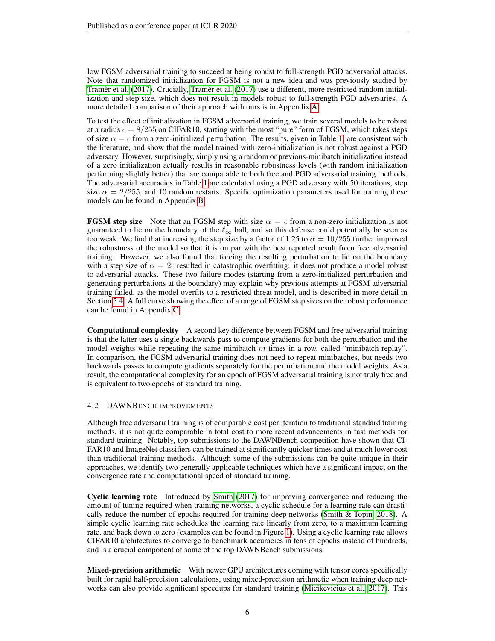low FGSM adversarial training to succeed at being robust to full-strength PGD adversarial attacks. Note that randomized initialization for FGSM is not a new idea and was previously studied by Tramèr et al. [\(2017\)](#page-12-1). Crucially, Tramèr et al. (2017) use a different, more restricted random initialization and step size, which does not result in models robust to full-strength PGD adversaries. A more detailed comparison of their approach with ours is in Appendix [A.](#page-13-0)

To test the effect of initialization in FGSM adversarial training, we train several models to be robust at a radius  $\epsilon = 8/255$  on CIFAR10, starting with the most "pure" form of FGSM, which takes steps of size  $\alpha = \epsilon$  from a zero-initialized perturbation. The results, given in Table [1,](#page-4-3) are consistent with the literature, and show that the model trained with zero-initialization is not robust against a PGD adversary. However, surprisingly, simply using a random or previous-minibatch initialization instead of a zero initialization actually results in reasonable robustness levels (with random initialization performing slightly better) that are comparable to both free and PGD adversarial training methods. The adversarial accuracies in Table [1](#page-4-3) are calculated using a PGD adversary with 50 iterations, step size  $\alpha = 2/255$ , and 10 random restarts. Specific optimization parameters used for training these models can be found in Appendix [B.](#page-13-1)

**FGSM step size** Note that an FGSM step with size  $\alpha = \epsilon$  from a non-zero initialization is not guaranteed to lie on the boundary of the  $\ell_{\infty}$  ball, and so this defense could potentially be seen as too weak. We find that increasing the step size by a factor of 1.25 to  $\alpha = 10/255$  further improved the robustness of the model so that it is on par with the best reported result from free adversarial training. However, we also found that forcing the resulting perturbation to lie on the boundary with a step size of  $\alpha = 2\epsilon$  resulted in catastrophic overfitting: it does not produce a model robust to adversarial attacks. These two failure modes (starting from a zero-initialized perturbation and generating perturbations at the boundary) may explain why previous attempts at FGSM adversarial training failed, as the model overfits to a restricted threat model, and is described in more detail in Section [5.4.](#page-9-0) A full curve showing the effect of a range of FGSM step sizes on the robust performance can be found in Appendix [C.](#page-14-0)

Computational complexity A second key difference between FGSM and free adversarial training is that the latter uses a single backwards pass to compute gradients for both the perturbation and the model weights while repeating the same minibatch  $m$  times in a row, called "minibatch replay". In comparison, the FGSM adversarial training does not need to repeat minibatches, but needs two backwards passes to compute gradients separately for the perturbation and the model weights. As a result, the computational complexity for an epoch of FGSM adversarial training is not truly free and is equivalent to two epochs of standard training.

## <span id="page-5-0"></span>4.2 DAWNBENCH IMPROVEMENTS

Although free adversarial training is of comparable cost per iteration to traditional standard training methods, it is not quite comparable in total cost to more recent advancements in fast methods for standard training. Notably, top submissions to the DAWNBench competition have shown that CI-FAR10 and ImageNet classifiers can be trained at significantly quicker times and at much lower cost than traditional training methods. Although some of the submissions can be quite unique in their approaches, we identify two generally applicable techniques which have a significant impact on the convergence rate and computational speed of standard training.

Cyclic learning rate Introduced by [Smith](#page-11-17) [\(2017\)](#page-11-17) for improving convergence and reducing the amount of tuning required when training networks, a cyclic schedule for a learning rate can drastically reduce the number of epochs required for training deep networks [\(Smith & Topin, 2018\)](#page-11-2). A simple cyclic learning rate schedules the learning rate linearly from zero, to a maximum learning rate, and back down to zero (examples can be found in Figure [1\)](#page-6-0). Using a cyclic learning rate allows CIFAR10 architectures to converge to benchmark accuracies in tens of epochs instead of hundreds, and is a crucial component of some of the top DAWNBench submissions.

Mixed-precision arithmetic With newer GPU architectures coming with tensor cores specifically built for rapid half-precision calculations, using mixed-precision arithmetic when training deep networks can also provide significant speedups for standard training [\(Micikevicius et al., 2017\)](#page-11-3). This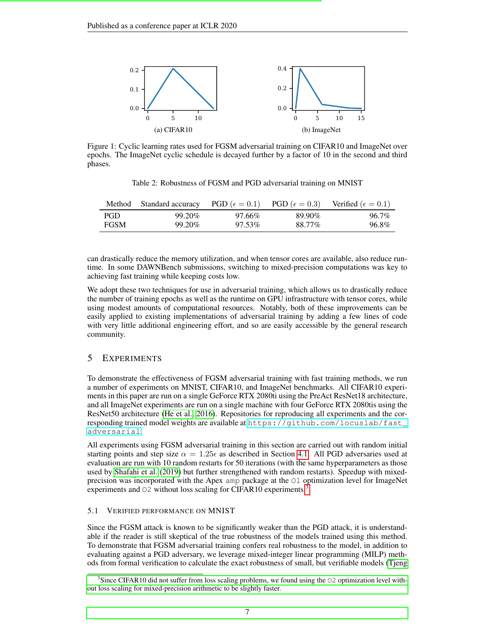<span id="page-6-0"></span>

Figure 1: Cyclic learning rates used for FGSM adversarial training on CIFAR10 and ImageNet over epochs. The ImageNet cyclic schedule is decayed further by a factor of 10 in the second and third phases.

Table 2: Robustness of FGSM and PGD adversarial training on MNIST

<span id="page-6-2"></span>

|             | Method Standard accuracy PGD ( $\epsilon = 0.1$ ) PGD ( $\epsilon = 0.3$ ) Verified ( $\epsilon = 0.1$ ) |        |        |          |
|-------------|----------------------------------------------------------------------------------------------------------|--------|--------|----------|
| PGD.        | 99.20%                                                                                                   | 97.66% | 89.90% | $96.7\%$ |
| <b>FGSM</b> | 99.20%                                                                                                   | 97.53% | 88.77% | 96.8%    |

can drastically reduce the memory utilization, and when tensor cores are available, also reduce runtime. In some DAWNBench submissions, switching to mixed-precision computations was key to achieving fast training while keeping costs low.

We adopt these two techniques for use in adversarial training, which allows us to drastically reduce the number of training epochs as well as the runtime on GPU infrastructure with tensor cores, while using modest amounts of computational resources. Notably, both of these improvements can be easily applied to existing implementations of adversarial training by adding a few lines of code with very little additional engineering effort, and so are easily accessible by the general research community.

# 5 EXPERIMENTS

To demonstrate the effectiveness of FGSM adversarial training with fast training methods, we run a number of experiments on MNIST, CIFAR10, and ImageNet benchmarks. All CIFAR10 experiments in this paper are run on a single GeForce RTX 2080ti using the PreAct ResNet18 architecture, and all ImageNet experiments are run on a single machine with four GeForce RTX 2080tis using the ResNet50 architecture [\(He et al., 2016\)](#page-10-18). Repositories for reproducing all experiments and the corresponding trained model weights are available at [https://github.com/locuslab/fast\\_](https://github.com/locuslab/fast_adversarial) [adversarial](https://github.com/locuslab/fast_adversarial).

All experiments using FGSM adversarial training in this section are carried out with random initial starting points and step size  $\alpha = 1.25\epsilon$  as described in Section [4.1.](#page-4-4) All PGD adversaries used at evaluation are run with 10 random restarts for 50 iterations (with the same hyperparameters as those used by [Shafahi et al.](#page-11-1) [\(2019\)](#page-11-1) but further strengthened with random restarts). Speedup with mixedprecision was incorporated with the Apex amp package at the O1 optimization level for ImageNet experiments and O2 without loss scaling for CIFAR10 experiments.<sup>[3](#page-6-1)</sup>

## 5.1 VERIFIED PERFORMANCE ON MNIST

Since the FGSM attack is known to be significantly weaker than the PGD attack, it is understandable if the reader is still skeptical of the true robustness of the models trained using this method. To demonstrate that FGSM adversarial training confers real robustness to the model, in addition to evaluating against a PGD adversary, we leverage mixed-integer linear programming (MILP) methods from formal verification to calculate the exact robustness of small, but verifiable models [\(Tjeng](#page-12-10)

<span id="page-6-1"></span><sup>&</sup>lt;sup>3</sup>[Since CIFAR10 did not suffer from loss scaling problems, we found using the](#page-12-10) O2 optimization level with[out loss scaling for mixed-precision arithmetic to be slightly faster.](#page-12-10)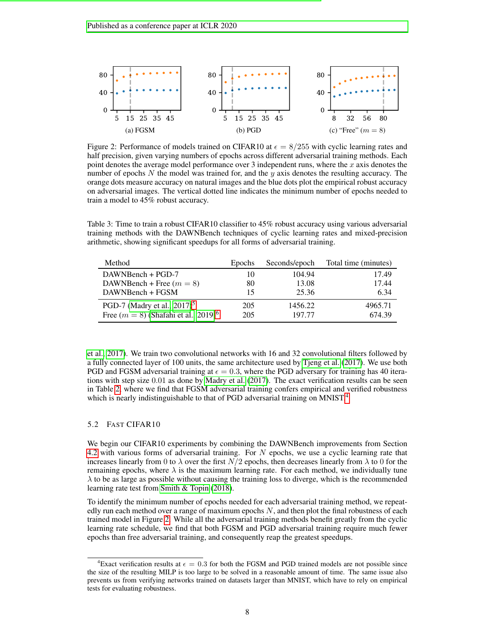<span id="page-7-1"></span>

Figure 2: Performance of models trained on CIFAR10 at  $\epsilon = 8/255$  with cyclic learning rates and half precision, given varying numbers of epochs across different adversarial training methods. Each point denotes the average model performance over 3 independent runs, where the  $x$  axis denotes the number of epochs  $N$  the model was trained for, and the  $y$  axis denotes the resulting accuracy. The orange dots measure accuracy on natural images and the blue dots plot the empirical robust accuracy on adversarial images. The vertical dotted line indicates the minimum number of epochs needed to train a model to 45% robust accuracy.

<span id="page-7-2"></span>Table 3: Time to train a robust CIFAR10 classifier to 45% robust accuracy using various adversarial training methods with the DAWNBench techniques of cyclic learning rates and mixed-precision arithmetic, showing significant speedups for all forms of adversarial training.

| Method                                             | <b>Epochs</b> | Seconds/epoch | Total time (minutes) |
|----------------------------------------------------|---------------|---------------|----------------------|
| DAWNBench + PGD-7                                  | 10            | 104.94        | 17.49                |
| DAWNBench + Free $(m = 8)$                         | 80            | 13.08         | 17.44                |
| DAWNBench + FGSM                                   | 15            | 25.36         | 6.34                 |
| PGD-7 (Madry et al., $2017$ ) <sup>5</sup>         | 205           | 1456.22       | 4965.71              |
| Free $(m = 8)$ (Shafahi et al., 2019) <sup>6</sup> | 205           | 197.77        | 674.39               |

[et al., 2017\)](#page-12-10). We train two convolutional networks with 16 and 32 convolutional filters followed by a fully connected layer of 100 units, the same architecture used by [Tjeng et al.](#page-12-10) [\(2017\)](#page-12-10). We use both PGD and FGSM adversarial training at  $\epsilon = 0.3$ , where the PGD adversary for training has 40 iterations with step size 0.01 as done by [Madry et al.](#page-11-4) [\(2017\)](#page-11-4). The exact verification results can be seen in Table [2,](#page-6-2) where we find that FGSM adversarial training confers empirical and verified robustness which is nearly indistinguishable to that of PGD adversarial training on MNIST.<sup>[4](#page-7-0)</sup>

## 5.2 FAST CIFAR10

We begin our CIFAR10 experiments by combining the DAWNBench improvements from Section [4.2](#page-5-0) with various forms of adversarial training. For N epochs, we use a cyclic learning rate that increases linearly from 0 to  $\lambda$  over the first  $N/2$  epochs, then decreases linearly from  $\lambda$  to 0 for the remaining epochs, where  $\lambda$  is the maximum learning rate. For each method, we individually tune  $\lambda$  to be as large as possible without causing the training loss to diverge, which is the recommended learning rate test from [Smith & Topin](#page-11-2) [\(2018\)](#page-11-2).

To identify the minimum number of epochs needed for each adversarial training method, we repeatedly run each method over a range of maximum epochs  $N$ , and then plot the final robustness of each trained model in Figure [2.](#page-7-1) While all the adversarial training methods benefit greatly from the cyclic learning rate schedule, we find that both FGSM and PGD adversarial training require much fewer epochs than free adversarial training, and consequently reap the greatest speedups.

<span id="page-7-0"></span><sup>&</sup>lt;sup>4</sup>Exact verification results at  $\epsilon = 0.3$  for both the FGSM and PGD trained models are not possible since the size of the resulting MILP is too large to be solved in a reasonable amount of time. The same issue also prevents us from verifying networks trained on datasets larger than MNIST, which have to rely on empirical tests for evaluating robustness.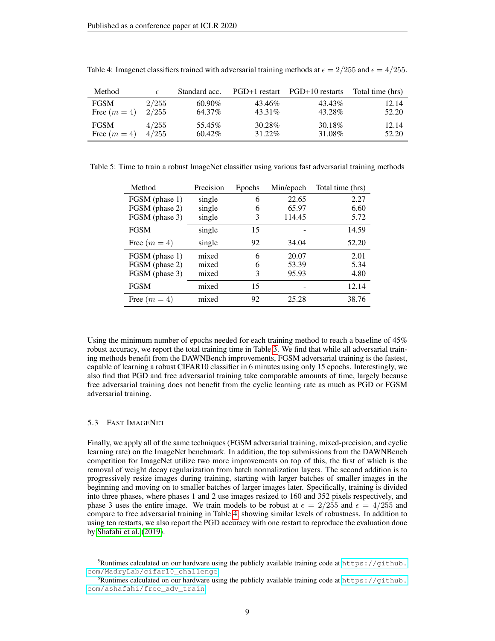| Method       | E     | Standard acc. |         | PGD+1 restart PGD+10 restarts | Total time (hrs) |
|--------------|-------|---------------|---------|-------------------------------|------------------|
| <b>FGSM</b>  | 2/255 | $60.90\%$     | 43.46%  | 43.43%                        | 12.14            |
| Free $(m=4)$ | 2/255 | 64.37%        | 43.31\% | 43.28%                        | 52.20            |
| <b>FGSM</b>  | 4/255 | 55.45%        | 30.28%  | 30.18%                        | 12.14            |
| Free $(m=4)$ | 4/255 | $60.42\%$     | 31.22%  | 31.08%                        | 52.20            |

<span id="page-8-2"></span>Table 4: Imagenet classifiers trained with adversarial training methods at  $\epsilon = 2/255$  and  $\epsilon = 4/255$ .

<span id="page-8-3"></span>Table 5: Time to train a robust ImageNet classifier using various fast adversarial training methods

| Method         | Precision | Epochs | Min/epoch | Total time (hrs) |
|----------------|-----------|--------|-----------|------------------|
| FGSM (phase 1) | single    | 6      | 22.65     | 2.27             |
| FGSM (phase 2) | single    | 6      | 65.97     | 6.60             |
| FGSM (phase 3) | single    | 3      | 114.45    | 5.72             |
| <b>FGSM</b>    | single    | 15     |           | 14.59            |
| Free $(m = 4)$ | single    | 92     | 34.04     | 52.20            |
| FGSM (phase 1) | mixed     | 6      | 20.07     | 2.01             |
| FGSM (phase 2) | mixed     | 6      | 53.39     | 5.34             |
| FGSM (phase 3) | mixed     | 3      | 95.93     | 4.80             |
| <b>FGSM</b>    | mixed     | 15     |           | 12.14            |
| Free $(m=4)$   | mixed     | 92     | 25.28     | 38.76            |

Using the minimum number of epochs needed for each training method to reach a baseline of 45% robust accuracy, we report the total training time in Table [3.](#page-7-2) We find that while all adversarial training methods benefit from the DAWNBench improvements, FGSM adversarial training is the fastest, capable of learning a robust CIFAR10 classifier in 6 minutes using only 15 epochs. Interestingly, we also find that PGD and free adversarial training take comparable amounts of time, largely because free adversarial training does not benefit from the cyclic learning rate as much as PGD or FGSM adversarial training.

#### 5.3 FAST IMAGENET

Finally, we apply all of the same techniques (FGSM adversarial training, mixed-precision, and cyclic learning rate) on the ImageNet benchmark. In addition, the top submissions from the DAWNBench competition for ImageNet utilize two more improvements on top of this, the first of which is the removal of weight decay regularization from batch normalization layers. The second addition is to progressively resize images during training, starting with larger batches of smaller images in the beginning and moving on to smaller batches of larger images later. Specifically, training is divided into three phases, where phases 1 and 2 use images resized to 160 and 352 pixels respectively, and phase 3 uses the entire image. We train models to be robust at  $\epsilon = 2/255$  and  $\epsilon = 4/255$  and compare to free adversarial training in Table [4,](#page-8-2) showing similar levels of robustness. In addition to using ten restarts, we also report the PGD accuracy with one restart to reproduce the evaluation done by [Shafahi et al.](#page-11-1) [\(2019\)](#page-11-1).

<span id="page-8-0"></span> $5$ Runtimes calculated on our hardware using the publicly available training code at [https://github.](https://github.com/MadryLab/cifar10_challenge) [com/MadryLab/cifar10\\_challenge](https://github.com/MadryLab/cifar10_challenge).

<span id="page-8-1"></span> $6$ Runtimes calculated on our hardware using the publicly available training code at [https://github.](https://github.com/ashafahi/free_adv_train) [com/ashafahi/free\\_adv\\_train](https://github.com/ashafahi/free_adv_train).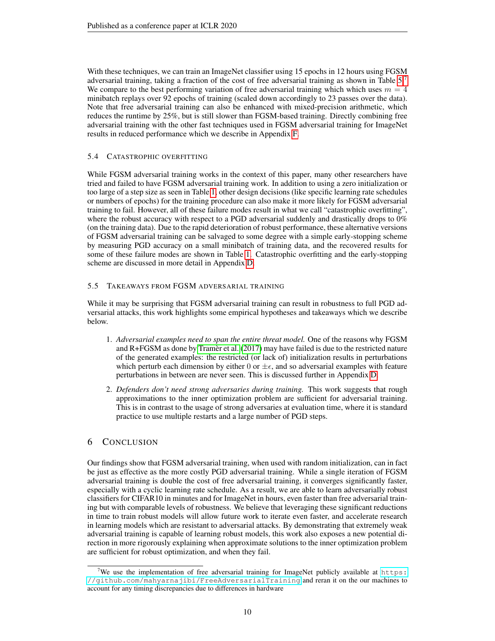With these techniques, we can train an ImageNet classifier using 15 epochs in 12 hours using FGSM adversarial training, taking a fraction of the cost of free adversarial training as shown in Table [5.](#page-8-3)[7](#page-9-1) We compare to the best performing variation of free adversarial training which which uses  $m = 4$ minibatch replays over 92 epochs of training (scaled down accordingly to 23 passes over the data). Note that free adversarial training can also be enhanced with mixed-precision arithmetic, which reduces the runtime by 25%, but is still slower than FGSM-based training. Directly combining free adversarial training with the other fast techniques used in FGSM adversarial training for ImageNet results in reduced performance which we describe in Appendix [F.](#page-16-0)

# <span id="page-9-0"></span>5.4 CATASTROPHIC OVERFITTING

While FGSM adversarial training works in the context of this paper, many other researchers have tried and failed to have FGSM adversarial training work. In addition to using a zero initialization or too large of a step size as seen in Table [1,](#page-4-3) other design decisions (like specific learning rate schedules or numbers of epochs) for the training procedure can also make it more likely for FGSM adversarial training to fail. However, all of these failure modes result in what we call "catastrophic overfitting", where the robust accuracy with respect to a PGD adversarial suddenly and drastically drops to 0% (on the training data). Due to the rapid deterioration of robust performance, these alternative versions of FGSM adversarial training can be salvaged to some degree with a simple early-stopping scheme by measuring PGD accuracy on a small minibatch of training data, and the recovered results for some of these failure modes are shown in Table [1.](#page-4-3) Catastrophic overfitting and the early-stopping scheme are discussed in more detail in Appendix [D.](#page-14-1)

# 5.5 TAKEAWAYS FROM FGSM ADVERSARIAL TRAINING

While it may be surprising that FGSM adversarial training can result in robustness to full PGD adversarial attacks, this work highlights some empirical hypotheses and takeaways which we describe below.

- 1. *Adversarial examples need to span the entire threat model.* One of the reasons why FGSM and  $R + FGSM$  as done by [Tramer et al.](#page-12-1) [\(2017\)](#page-12-1) may have failed is due to the restricted nature of the generated examples: the restricted (or lack of) initialization results in perturbations which perturb each dimension by either 0 or  $\pm \epsilon$ , and so adversarial examples with feature perturbations in between are never seen. This is discussed further in Appendix [D.](#page-14-1)
- 2. *Defenders don't need strong adversaries during training.* This work suggests that rough approximations to the inner optimization problem are sufficient for adversarial training. This is in contrast to the usage of strong adversaries at evaluation time, where it is standard practice to use multiple restarts and a large number of PGD steps.

# 6 CONCLUSION

Our findings show that FGSM adversarial training, when used with random initialization, can in fact be just as effective as the more costly PGD adversarial training. While a single iteration of FGSM adversarial training is double the cost of free adversarial training, it converges significantly faster, especially with a cyclic learning rate schedule. As a result, we are able to learn adversarially robust classifiers for CIFAR10 in minutes and for ImageNet in hours, even faster than free adversarial training but with comparable levels of robustness. We believe that leveraging these significant reductions in time to train robust models will allow future work to iterate even faster, and accelerate research in learning models which are resistant to adversarial attacks. By demonstrating that extremely weak adversarial training is capable of learning robust models, this work also exposes a new potential direction in more rigorously explaining when approximate solutions to the inner optimization problem are sufficient for robust optimization, and when they fail.

<span id="page-9-1"></span><sup>&</sup>lt;sup>7</sup>We use the implementation of free adversarial training for ImageNet publicly available at [https:](https://github.com/mahyarnajibi/FreeAdversarialTraining) [//github.com/mahyarnajibi/FreeAdversarialTraining](https://github.com/mahyarnajibi/FreeAdversarialTraining) and reran it on the our machines to account for any timing discrepancies due to differences in hardware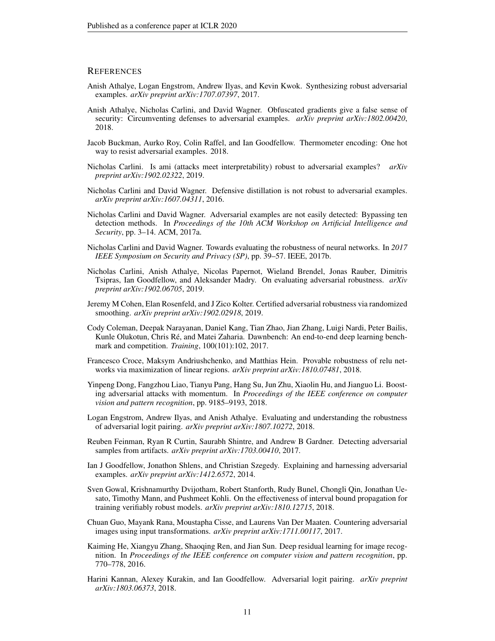#### **REFERENCES**

- <span id="page-10-13"></span>Anish Athalye, Logan Engstrom, Andrew Ilyas, and Kevin Kwok. Synthesizing robust adversarial examples. *arXiv preprint arXiv:1707.07397*, 2017.
- <span id="page-10-16"></span>Anish Athalye, Nicholas Carlini, and David Wagner. Obfuscated gradients give a false sense of security: Circumventing defenses to adversarial examples. *arXiv preprint arXiv:1802.00420*, 2018.
- <span id="page-10-4"></span>Jacob Buckman, Aurko Roy, Colin Raffel, and Ian Goodfellow. Thermometer encoding: One hot way to resist adversarial examples. 2018.
- <span id="page-10-15"></span>Nicholas Carlini. Is ami (attacks meet interpretability) robust to adversarial examples? *arXiv preprint arXiv:1902.02322*, 2019.
- <span id="page-10-11"></span>Nicholas Carlini and David Wagner. Defensive distillation is not robust to adversarial examples. *arXiv preprint arXiv:1607.04311*, 2016.
- <span id="page-10-6"></span>Nicholas Carlini and David Wagner. Adversarial examples are not easily detected: Bypassing ten detection methods. In *Proceedings of the 10th ACM Workshop on Artificial Intelligence and Security*, pp. 3–14. ACM, 2017a.
- <span id="page-10-12"></span>Nicholas Carlini and David Wagner. Towards evaluating the robustness of neural networks. In *2017 IEEE Symposium on Security and Privacy (SP)*, pp. 39–57. IEEE, 2017b.
- <span id="page-10-17"></span>Nicholas Carlini, Anish Athalye, Nicolas Papernot, Wieland Brendel, Jonas Rauber, Dimitris Tsipras, Ian Goodfellow, and Aleksander Madry. On evaluating adversarial robustness. *arXiv preprint arXiv:1902.06705*, 2019.
- <span id="page-10-9"></span>Jeremy M Cohen, Elan Rosenfeld, and J Zico Kolter. Certified adversarial robustness via randomized smoothing. *arXiv preprint arXiv:1902.02918*, 2019.
- <span id="page-10-0"></span>Cody Coleman, Deepak Narayanan, Daniel Kang, Tian Zhao, Jian Zhang, Luigi Nardi, Peter Bailis, Kunle Olukotun, Chris Ré, and Matei Zaharia. Dawnbench: An end-to-end deep learning benchmark and competition. *Training*, 100(101):102, 2017.
- <span id="page-10-7"></span>Francesco Croce, Maksym Andriushchenko, and Matthias Hein. Provable robustness of relu networks via maximization of linear regions. *arXiv preprint arXiv:1810.07481*, 2018.
- <span id="page-10-2"></span>Yinpeng Dong, Fangzhou Liao, Tianyu Pang, Hang Su, Jun Zhu, Xiaolin Hu, and Jianguo Li. Boosting adversarial attacks with momentum. In *Proceedings of the IEEE conference on computer vision and pattern recognition*, pp. 9185–9193, 2018.
- <span id="page-10-14"></span>Logan Engstrom, Andrew Ilyas, and Anish Athalye. Evaluating and understanding the robustness of adversarial logit pairing. *arXiv preprint arXiv:1807.10272*, 2018.
- <span id="page-10-5"></span>Reuben Feinman, Ryan R Curtin, Saurabh Shintre, and Andrew B Gardner. Detecting adversarial samples from artifacts. *arXiv preprint arXiv:1703.00410*, 2017.
- <span id="page-10-1"></span>Ian J Goodfellow, Jonathon Shlens, and Christian Szegedy. Explaining and harnessing adversarial examples. *arXiv preprint arXiv:1412.6572*, 2014.
- <span id="page-10-8"></span>Sven Gowal, Krishnamurthy Dvijotham, Robert Stanforth, Rudy Bunel, Chongli Qin, Jonathan Uesato, Timothy Mann, and Pushmeet Kohli. On the effectiveness of interval bound propagation for training verifiably robust models. *arXiv preprint arXiv:1810.12715*, 2018.
- <span id="page-10-3"></span>Chuan Guo, Mayank Rana, Moustapha Cisse, and Laurens Van Der Maaten. Countering adversarial images using input transformations. *arXiv preprint arXiv:1711.00117*, 2017.
- <span id="page-10-18"></span>Kaiming He, Xiangyu Zhang, Shaoqing Ren, and Jian Sun. Deep residual learning for image recognition. In *Proceedings of the IEEE conference on computer vision and pattern recognition*, pp. 770–778, 2016.
- <span id="page-10-10"></span>Harini Kannan, Alexey Kurakin, and Ian Goodfellow. Adversarial logit pairing. *arXiv preprint arXiv:1803.06373*, 2018.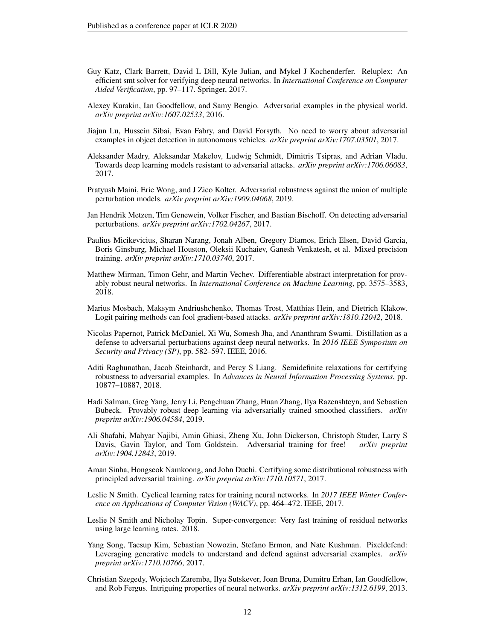- <span id="page-11-10"></span>Guy Katz, Clark Barrett, David L Dill, Kyle Julian, and Mykel J Kochenderfer. Reluplex: An efficient smt solver for verifying deep neural networks. In *International Conference on Computer Aided Verification*, pp. 97–117. Springer, 2017.
- <span id="page-11-5"></span>Alexey Kurakin, Ian Goodfellow, and Samy Bengio. Adversarial examples in the physical world. *arXiv preprint arXiv:1607.02533*, 2016.
- <span id="page-11-16"></span>Jiajun Lu, Hussein Sibai, Evan Fabry, and David Forsyth. No need to worry about adversarial examples in object detection in autonomous vehicles. *arXiv preprint arXiv:1707.03501*, 2017.
- <span id="page-11-4"></span>Aleksander Madry, Aleksandar Makelov, Ludwig Schmidt, Dimitris Tsipras, and Adrian Vladu. Towards deep learning models resistant to adversarial attacks. *arXiv preprint arXiv:1706.06083*, 2017.
- <span id="page-11-7"></span>Pratyush Maini, Eric Wong, and J Zico Kolter. Adversarial robustness against the union of multiple perturbation models. *arXiv preprint arXiv:1909.04068*, 2019.
- <span id="page-11-9"></span>Jan Hendrik Metzen, Tim Genewein, Volker Fischer, and Bastian Bischoff. On detecting adversarial perturbations. *arXiv preprint arXiv:1702.04267*, 2017.
- <span id="page-11-3"></span>Paulius Micikevicius, Sharan Narang, Jonah Alben, Gregory Diamos, Erich Elsen, David Garcia, Boris Ginsburg, Michael Houston, Oleksii Kuchaiev, Ganesh Venkatesh, et al. Mixed precision training. *arXiv preprint arXiv:1710.03740*, 2017.
- <span id="page-11-13"></span>Matthew Mirman, Timon Gehr, and Martin Vechev. Differentiable abstract interpretation for provably robust neural networks. In *International Conference on Machine Learning*, pp. 3575–3583, 2018.
- <span id="page-11-6"></span>Marius Mosbach, Maksym Andriushchenko, Thomas Trost, Matthias Hein, and Dietrich Klakow. Logit pairing methods can fool gradient-based attacks. *arXiv preprint arXiv:1810.12042*, 2018.
- <span id="page-11-15"></span>Nicolas Papernot, Patrick McDaniel, Xi Wu, Somesh Jha, and Ananthram Swami. Distillation as a defense to adversarial perturbations against deep neural networks. In *2016 IEEE Symposium on Security and Privacy (SP)*, pp. 582–597. IEEE, 2016.
- <span id="page-11-12"></span>Aditi Raghunathan, Jacob Steinhardt, and Percy S Liang. Semidefinite relaxations for certifying robustness to adversarial examples. In *Advances in Neural Information Processing Systems*, pp. 10877–10887, 2018.
- <span id="page-11-14"></span>Hadi Salman, Greg Yang, Jerry Li, Pengchuan Zhang, Huan Zhang, Ilya Razenshteyn, and Sebastien Bubeck. Provably robust deep learning via adversarially trained smoothed classifiers. *arXiv preprint arXiv:1906.04584*, 2019.
- <span id="page-11-1"></span>Ali Shafahi, Mahyar Najibi, Amin Ghiasi, Zheng Xu, John Dickerson, Christoph Studer, Larry S Davis, Gavin Taylor, and Tom Goldstein. Adversarial training for free! *arXiv preprint arXiv:1904.12843*, 2019.
- <span id="page-11-11"></span>Aman Sinha, Hongseok Namkoong, and John Duchi. Certifying some distributional robustness with principled adversarial training. *arXiv preprint arXiv:1710.10571*, 2017.
- <span id="page-11-17"></span>Leslie N Smith. Cyclical learning rates for training neural networks. In *2017 IEEE Winter Conference on Applications of Computer Vision (WACV)*, pp. 464–472. IEEE, 2017.
- <span id="page-11-2"></span>Leslie N Smith and Nicholay Topin. Super-convergence: Very fast training of residual networks using large learning rates. 2018.
- <span id="page-11-8"></span>Yang Song, Taesup Kim, Sebastian Nowozin, Stefano Ermon, and Nate Kushman. Pixeldefend: Leveraging generative models to understand and defend against adversarial examples. *arXiv preprint arXiv:1710.10766*, 2017.
- <span id="page-11-0"></span>Christian Szegedy, Wojciech Zaremba, Ilya Sutskever, Joan Bruna, Dumitru Erhan, Ian Goodfellow, and Rob Fergus. Intriguing properties of neural networks. *arXiv preprint arXiv:1312.6199*, 2013.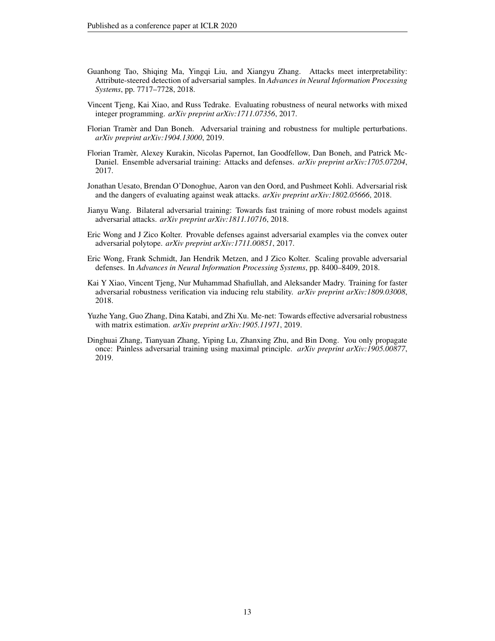- <span id="page-12-7"></span>Guanhong Tao, Shiqing Ma, Yingqi Liu, and Xiangyu Zhang. Attacks meet interpretability: Attribute-steered detection of adversarial samples. In *Advances in Neural Information Processing Systems*, pp. 7717–7728, 2018.
- <span id="page-12-10"></span>Vincent Tjeng, Kai Xiao, and Russ Tedrake. Evaluating robustness of neural networks with mixed integer programming. *arXiv preprint arXiv:1711.07356*, 2017.
- <span id="page-12-3"></span>Florian Tramer and Dan Boneh. Adversarial training and robustness for multiple perturbations. *arXiv preprint arXiv:1904.13000*, 2019.
- <span id="page-12-1"></span>Florian Tramer, Alexey Kurakin, Nicolas Papernot, Ian Goodfellow, Dan Boneh, and Patrick Mc- ` Daniel. Ensemble adversarial training: Attacks and defenses. *arXiv preprint arXiv:1705.07204*, 2017.
- <span id="page-12-8"></span>Jonathan Uesato, Brendan O'Donoghue, Aaron van den Oord, and Pushmeet Kohli. Adversarial risk and the dangers of evaluating against weak attacks. *arXiv preprint arXiv:1802.05666*, 2018.
- <span id="page-12-9"></span>Jianyu Wang. Bilateral adversarial training: Towards fast training of more robust models against adversarial attacks. *arXiv preprint arXiv:1811.10716*, 2018.
- <span id="page-12-4"></span>Eric Wong and J Zico Kolter. Provable defenses against adversarial examples via the convex outer adversarial polytope. *arXiv preprint arXiv:1711.00851*, 2017.
- <span id="page-12-6"></span>Eric Wong, Frank Schmidt, Jan Hendrik Metzen, and J Zico Kolter. Scaling provable adversarial defenses. In *Advances in Neural Information Processing Systems*, pp. 8400–8409, 2018.
- <span id="page-12-5"></span>Kai Y Xiao, Vincent Tjeng, Nur Muhammad Shafiullah, and Aleksander Madry. Training for faster adversarial robustness verification via inducing relu stability. *arXiv preprint arXiv:1809.03008*, 2018.
- <span id="page-12-2"></span>Yuzhe Yang, Guo Zhang, Dina Katabi, and Zhi Xu. Me-net: Towards effective adversarial robustness with matrix estimation. *arXiv preprint arXiv:1905.11971*, 2019.
- <span id="page-12-0"></span>Dinghuai Zhang, Tianyuan Zhang, Yiping Lu, Zhanxing Zhu, and Bin Dong. You only propagate once: Painless adversarial training using maximal principle. *arXiv preprint arXiv:1905.00877*, 2019.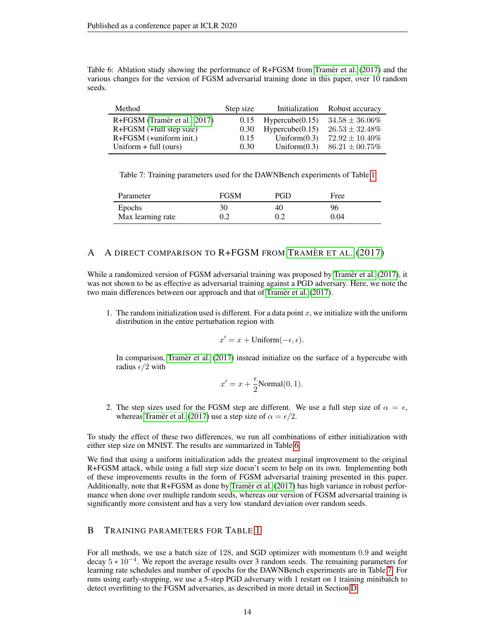<span id="page-13-2"></span>Table 6: Ablation study showing the performance of  $R + F$ GSM from [Tramer et al.](#page-12-1) [\(2017\)](#page-12-1) and the various changes for the version of FGSM adversarial training done in this paper, over 10 random seeds.

| Method                       | Step size | Initialization  | Robust accuracy     |
|------------------------------|-----------|-----------------|---------------------|
| R+FGSM (Tramèr et al., 2017) | 0.15      | Hypercube(0.15) | $34.58 \pm 36.06\%$ |
| $R + FGSM$ (+full step size) | 0.30      | Hypercube(0.15) | $26.53 \pm 32.48\%$ |
| $R + FGSM$ (+uniform init.)  | 0.15      | Uniform $(0.3)$ | $72.92 \pm 10.40\%$ |
| Uniform $+$ full (ours)      | 0.30      | Uniform $(0.3)$ | $86.21 \pm 00.75\%$ |

<span id="page-13-3"></span>Table 7: Training parameters used for the DAWNBench experiments of Table [1](#page-4-3)

| Parameter         | FGSM | PGD | Free |
|-------------------|------|-----|------|
| Epochs            | 30   | 40  | 96   |
| Max learning rate | 0.2  |     | 0.04 |

# <span id="page-13-0"></span>A A DIRECT COMPARISON TO  $R + FGSM$  from Tramer et al. [\(2017\)](#page-12-1)

While a randomized version of FGSM adversarial training was proposed by [Tramer et al.](#page-12-1) [\(2017\)](#page-12-1), it was not shown to be as effective as adversarial training against a PGD adversary. Here, we note the two main differences between our approach and that of [Tramer et al.](#page-12-1) [\(2017\)](#page-12-1).

1. The random initialization used is different. For a data point  $x$ , we initialize with the uniform distribution in the entire perturbation region with

$$
x' = x + \text{Uniform}(-\epsilon, \epsilon).
$$

In comparison, Tramèr et al. [\(2017\)](#page-12-1) instead initialize on the surface of a hypercube with radius  $\epsilon/2$  with

$$
x' = x + \frac{\epsilon}{2} \text{Normal}(0, 1).
$$

2. The step sizes used for the FGSM step are different. We use a full step size of  $\alpha = \epsilon$ , whereas [Tramer et al.](#page-12-1) [\(2017\)](#page-12-1) use a step size of  $\alpha = \epsilon/2$ .

To study the effect of these two differences, we run all combinations of either initialization with either step size on MNIST. The results are summarized in Table [6.](#page-13-2)

We find that using a uniform initialization adds the greatest marginal improvement to the original R+FGSM attack, while using a full step size doesn't seem to help on its own. Implementing both of these improvements results in the form of FGSM adversarial training presented in this paper. Additionally, note that  $R + FGSM$  as done by [Tramer et al.](#page-12-1) [\(2017\)](#page-12-1) has high variance in robust performance when done over multiple random seeds, whereas our version of FGSM adversarial training is significantly more consistent and has a very low standard deviation over random seeds.

# <span id="page-13-1"></span>B TRAINING PARAMETERS FOR TABLE [1](#page-4-3)

For all methods, we use a batch size of 128, and SGD optimizer with momentum 0.9 and weight decay  $5 * 10<sup>-4</sup>$ . We report the average results over 3 random seeds. The remaining parameters for learning rate schedules and number of epochs for the DAWNBench experiments are in Table [7.](#page-13-3) For runs using early-stopping, we use a 5-step PGD adversary with 1 restart on 1 training minibatch to detect overfitting to the FGSM adversaries, as described in more detail in Section [D.](#page-14-1)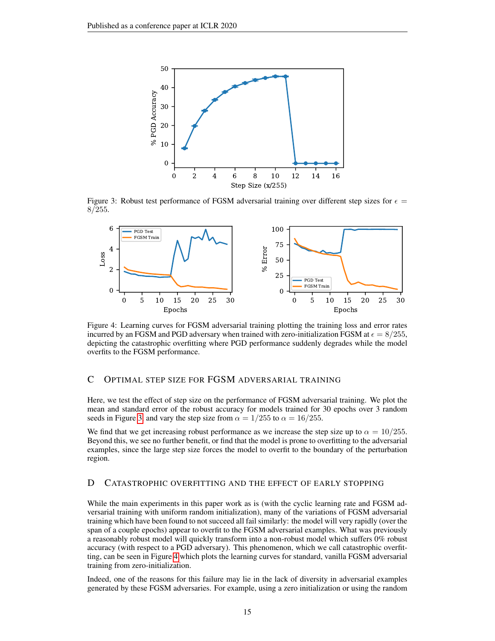<span id="page-14-2"></span>

Figure 3: Robust test performance of FGSM adversarial training over different step sizes for  $\epsilon =$ 8/255.

<span id="page-14-3"></span>

Figure 4: Learning curves for FGSM adversarial training plotting the training loss and error rates incurred by an FGSM and PGD adversary when trained with zero-initialization FGSM at  $\epsilon = 8/255$ , depicting the catastrophic overfitting where PGD performance suddenly degrades while the model overfits to the FGSM performance.

# <span id="page-14-0"></span>C OPTIMAL STEP SIZE FOR FGSM ADVERSARIAL TRAINING

Here, we test the effect of step size on the performance of FGSM adversarial training. We plot the mean and standard error of the robust accuracy for models trained for 30 epochs over 3 random seeds in Figure [3,](#page-14-2) and vary the step size from  $\alpha = 1/255$  to  $\alpha = 16/255$ .

We find that we get increasing robust performance as we increase the step size up to  $\alpha = 10/255$ . Beyond this, we see no further benefit, or find that the model is prone to overfitting to the adversarial examples, since the large step size forces the model to overfit to the boundary of the perturbation region.

# <span id="page-14-1"></span>D CATASTROPHIC OVERFITTING AND THE EFFECT OF EARLY STOPPING

While the main experiments in this paper work as is (with the cyclic learning rate and FGSM adversarial training with uniform random initialization), many of the variations of FGSM adversarial training which have been found to not succeed all fail similarly: the model will very rapidly (over the span of a couple epochs) appear to overfit to the FGSM adversarial examples. What was previously a reasonably robust model will quickly transform into a non-robust model which suffers 0% robust accuracy (with respect to a PGD adversary). This phenomenon, which we call catastrophic overfitting, can be seen in Figure [4](#page-14-3) which plots the learning curves for standard, vanilla FGSM adversarial training from zero-initialization.

Indeed, one of the reasons for this failure may lie in the lack of diversity in adversarial examples generated by these FGSM adversaries. For example, using a zero initialization or using the random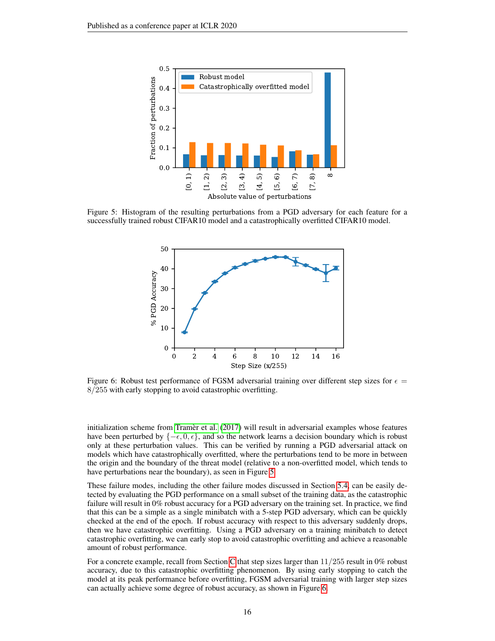<span id="page-15-0"></span>

<span id="page-15-1"></span>Figure 5: Histogram of the resulting perturbations from a PGD adversary for each feature for a successfully trained robust CIFAR10 model and a catastrophically overfitted CIFAR10 model.



Figure 6: Robust test performance of FGSM adversarial training over different step sizes for  $\epsilon$  = 8/255 with early stopping to avoid catastrophic overfitting.

initialization scheme from [Tramer et al.](#page-12-1) [\(2017\)](#page-12-1) will result in adversarial examples whose features have been perturbed by  $\{-\epsilon, 0, \epsilon\}$ , and so the network learns a decision boundary which is robust only at these perturbation values. This can be verified by running a PGD adversarial attack on models which have catastrophically overfitted, where the perturbations tend to be more in between the origin and the boundary of the threat model (relative to a non-overfitted model, which tends to have perturbations near the boundary), as seen in Figure [5.](#page-15-0)

These failure modes, including the other failure modes discussed in Section [5.4,](#page-9-0) can be easily detected by evaluating the PGD performance on a small subset of the training data, as the catastrophic failure will result in 0% robust accuracy for a PGD adversary on the training set. In practice, we find that this can be a simple as a single minibatch with a 5-step PGD adversary, which can be quickly checked at the end of the epoch. If robust accuracy with respect to this adversary suddenly drops, then we have catastrophic overfitting. Using a PGD adversary on a training minibatch to detect catastrophic overfitting, we can early stop to avoid catastrophic overfitting and achieve a reasonable amount of robust performance.

For a concrete example, recall from Section [C](#page-14-0) that step sizes larger than  $11/255$  result in 0% robust accuracy, due to this catastrophic overfitting phenomenon. By using early stopping to catch the model at its peak performance before overfitting, FGSM adversarial training with larger step sizes can actually achieve some degree of robust accuracy, as shown in Figure [6.](#page-15-1)